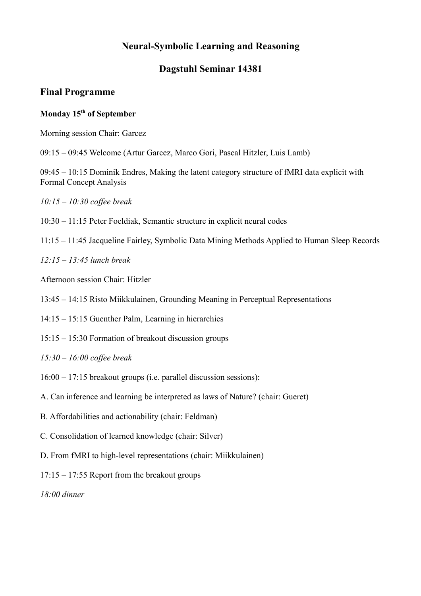## **Dagstuhl Seminar 14381**

## **Final Programme**

#### **Monday 15th of September**

Morning session Chair: Garcez

09:15 – 09:45 Welcome (Artur Garcez, Marco Gori, Pascal Hitzler, Luis Lamb)

09:45 – 10:15 Dominik Endres, Making the latent category structure of fMRI data explicit with Formal Concept Analysis

*10:15 – 10:30 coffee break*

- 10:30 11:15 Peter Foeldiak, Semantic structure in explicit neural codes
- 11:15 11:45 Jacqueline Fairley, Symbolic Data Mining Methods Applied to Human Sleep Records

*12:15 – 13:45 lunch break*

Afternoon session Chair: Hitzler

13:45 – 14:15 Risto Miikkulainen, Grounding Meaning in Perceptual Representations

14:15 – 15:15 Guenther Palm, Learning in hierarchies

15:15 – 15:30 Formation of breakout discussion groups

*15:30 – 16:00 coffee break* 

- 16:00 17:15 breakout groups (i.e. parallel discussion sessions):
- A. Can inference and learning be interpreted as laws of Nature? (chair: Gueret)
- B. Affordabilities and actionability (chair: Feldman)
- C. Consolidation of learned knowledge (chair: Silver)
- D. From fMRI to high-level representations (chair: Miikkulainen)
- 17:15 17:55 Report from the breakout groups

*18:00 dinner*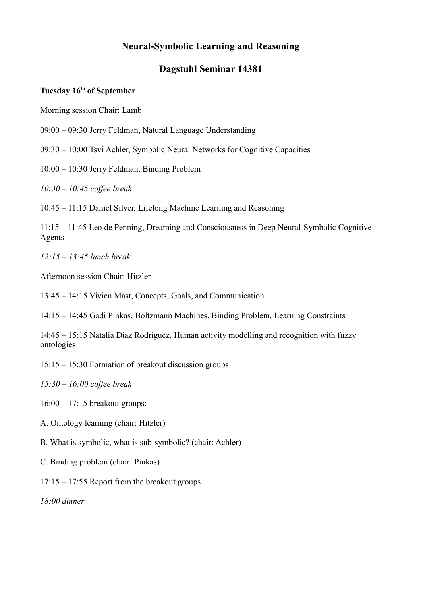## **Dagstuhl Seminar 14381**

#### **Tuesday 16th of September**

Morning session Chair: Lamb

- 09:00 09:30 Jerry Feldman, Natural Language Understanding
- 09:30 10:00 Tsvi Achler, Symbolic Neural Networks for Cognitive Capacities
- 10:00 10:30 Jerry Feldman, Binding Problem

*10:30 – 10:45 coffee break*

10:45 – 11:15 Daniel Silver, Lifelong Machine Learning and Reasoning

11:15 – 11:45 Leo de Penning, Dreaming and Consciousness in Deep Neural-Symbolic Cognitive Agents

*12:15 – 13:45 lunch break*

Afternoon session Chair: Hitzler

13:45 – 14:15 Vivien Mast, Concepts, Goals, and Communication

14:15 – 14:45 Gadi Pinkas, Boltzmann Machines, Binding Problem, Learning Constraints

14:45 – 15:15 Natalia Díaz Rodríguez, Human activity modelling and recognition with fuzzy ontologies

- 15:15 15:30 Formation of breakout discussion groups
- *15:30 16:00 coffee break*

16:00 – 17:15 breakout groups:

- A. Ontology learning (chair: Hitzler)
- B. What is symbolic, what is sub-symbolic? (chair: Achler)
- C. Binding problem (chair: Pinkas)
- 17:15 17:55 Report from the breakout groups

*18:00 dinner*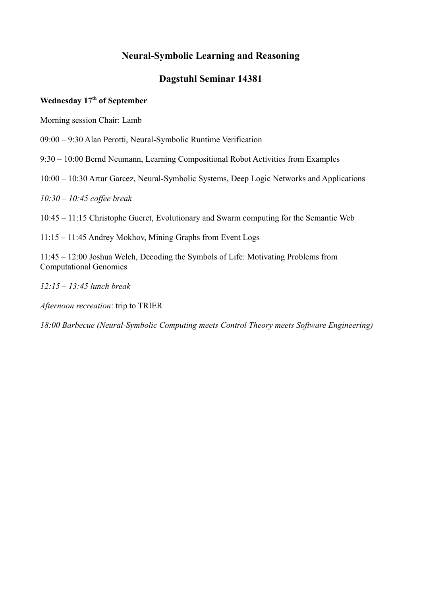### **Dagstuhl Seminar 14381**

#### **Wednesday 17th of September**

Morning session Chair: Lamb

09:00 – 9:30 Alan Perotti, Neural-Symbolic Runtime Verification

9:30 – 10:00 Bernd Neumann, Learning Compositional Robot Activities from Examples

10:00 – 10:30 Artur Garcez, Neural-Symbolic Systems, Deep Logic Networks and Applications

*10:30 – 10:45 coffee break*

10:45 – 11:15 Christophe Gueret, Evolutionary and Swarm computing for the Semantic Web

11:15 – 11:45 Andrey Mokhov, Mining Graphs from Event Logs

11:45 – 12:00 Joshua Welch, Decoding the Symbols of Life: Motivating Problems from Computational Genomics

*12:15 – 13:45 lunch break*

*Afternoon recreation*: trip to TRIER

*18:00 Barbecue (Neural-Symbolic Computing meets Control Theory meets Software Engineering)*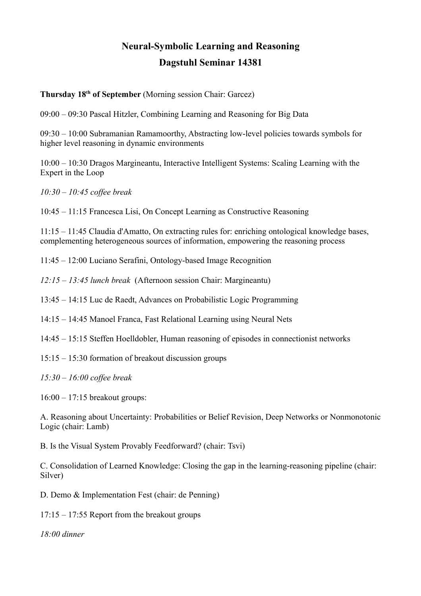# **Neural-Symbolic Learning and Reasoning Dagstuhl Seminar 14381**

#### **Thursday 18th of September** (Morning session Chair: Garcez)

09:00 – 09:30 Pascal Hitzler, Combining Learning and Reasoning for Big Data

09:30 – 10:00 Subramanian Ramamoorthy, Abstracting low-level policies towards symbols for higher level reasoning in dynamic environments

10:00 – 10:30 Dragos Margineantu, Interactive Intelligent Systems: Scaling Learning with the Expert in the Loop

*10:30 – 10:45 coffee break*

10:45 – 11:15 Francesca Lisi, On Concept Learning as Constructive Reasoning

11:15 – 11:45 Claudia d'Amatto, On extracting rules for: enriching ontological knowledge bases, complementing heterogeneous sources of information, empowering the reasoning process

11:45 – 12:00 Luciano Serafini, Ontology-based Image Recognition

*12:15 – 13:45 lunch break* (Afternoon session Chair: Margineantu)

13:45 – 14:15 Luc de Raedt, Advances on Probabilistic Logic Programming

14:15 – 14:45 Manoel Franca, Fast Relational Learning using Neural Nets

14:45 – 15:15 Steffen Hoelldobler, Human reasoning of episodes in connectionist networks

15:15 – 15:30 formation of breakout discussion groups

*15:30 – 16:00 coffee break*

16:00 – 17:15 breakout groups:

A. Reasoning about Uncertainty: Probabilities or Belief Revision, Deep Networks or Nonmonotonic Logic (chair: Lamb)

B. Is the Visual System Provably Feedforward? (chair: Tsvi)

C. Consolidation of Learned Knowledge: Closing the gap in the learning-reasoning pipeline (chair: Silver)

D. Demo & Implementation Fest (chair: de Penning)

17:15 – 17:55 Report from the breakout groups

*18:00 dinner*